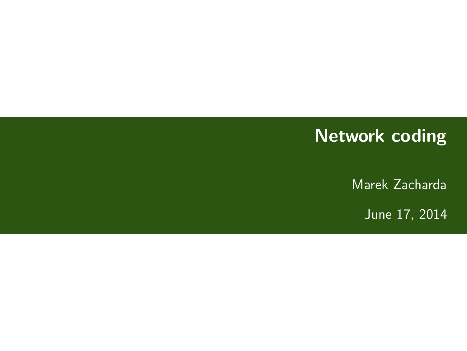## **Network coding**

Marek Zacharda

June 17, 2014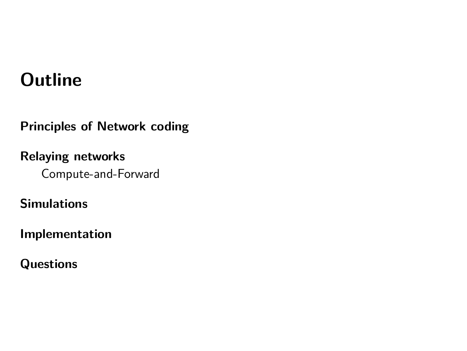## **Outline**

**Principles of Network coding**

**Relaying networks** Compute-and-Forward

**Simulations**

**Implementation**

**Questions**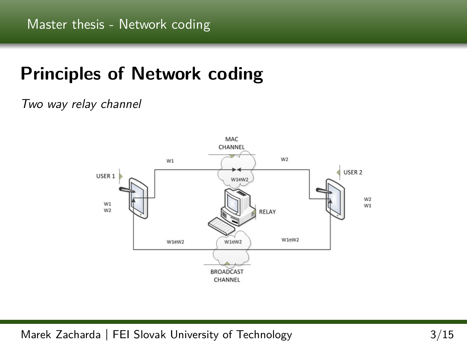# **Principles of Network coding**

#### Two way relay channel



Marek Zacharda **|** FEI Slovak University of Technology 3/15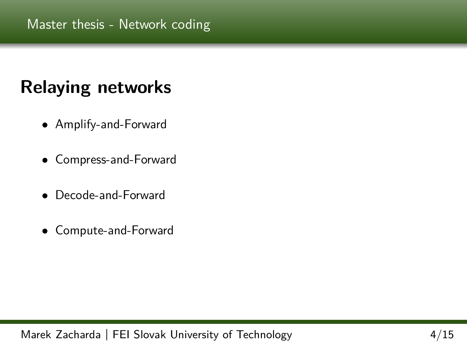# **Relaying networks**

- Amplify-and-Forward
- Compress-and-Forward
- Decode-and-Forward
- Compute-and-Forward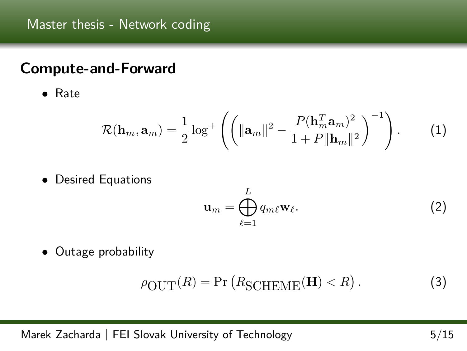### **Compute-and-Forward**

• Rate

$$
\mathcal{R}(\mathbf{h}_m, \mathbf{a}_m) = \frac{1}{2} \log^+ \left( \left( \|\mathbf{a}_m\|^2 - \frac{P(\mathbf{h}_m^T \mathbf{a}_m)^2}{1 + P \|\mathbf{h}_m\|^2} \right)^{-1} \right). \tag{1}
$$

• Desired Equations

$$
\mathbf{u}_m = \bigoplus_{\ell=1}^L q_{m\ell} \mathbf{w}_\ell.
$$
 (2)

• Outage probability

$$
\rho_{\text{OUT}}(R) = \Pr\left(R_{\text{SCHEME}}(\mathbf{H}) < R\right). \tag{3}
$$

Marek Zacharda **|** FEI Slovak University of Technology 5/15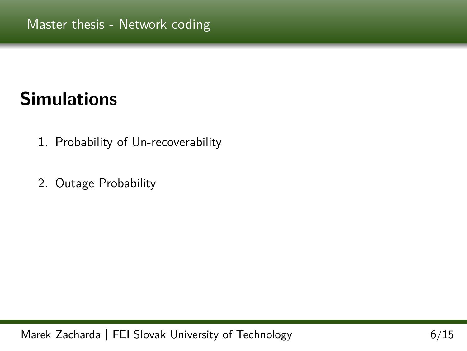# **Simulations**

- 1. Probability of Un-recoverability
- 2. Outage Probability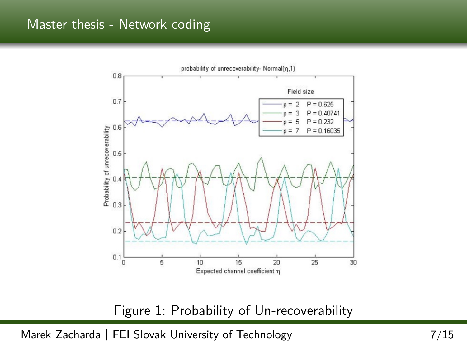

Figure 1: Probability of Un-recoverability

Marek Zacharda **|** FEI Slovak University of Technology 7/15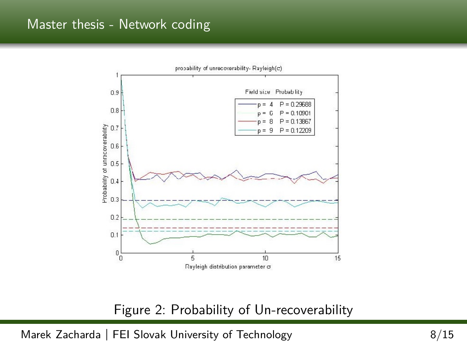

#### Figure 2: Probability of Un-recoverability

Marek Zacharda | FEI Slovak University of Technology 6/15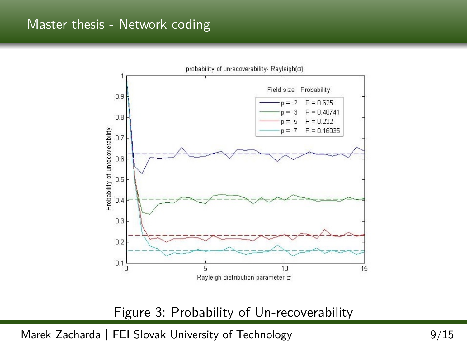

Figure 3: Probability of Un-recoverability

Marek Zacharda | FEI Slovak University of Technology 69/15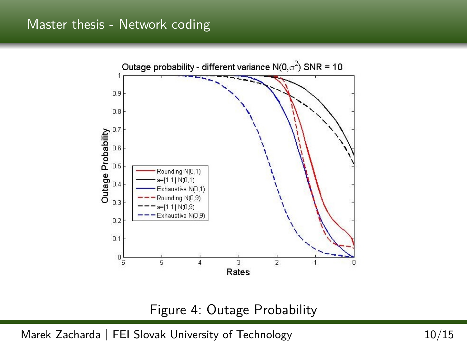

#### Figure 4: Outage Probability

Marek Zacharda **|** FEI Slovak University of Technology 10/15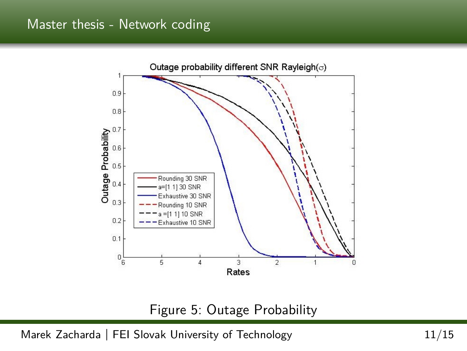

#### Figure 5: Outage Probability

Marek Zacharda **|** FEI Slovak University of Technology 11/15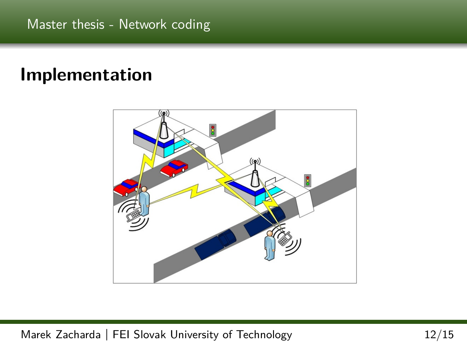## **Implementation**



Marek Zacharda **|** FEI Slovak University of Technology 12/15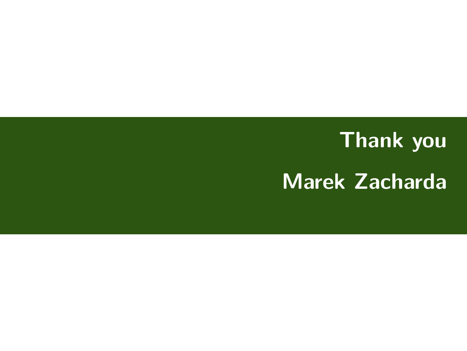# **Thank you Marek Zacharda**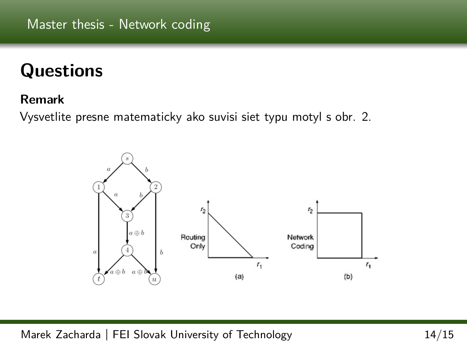# **Questions**

#### **Remark**

Vysvetlite presne matematicky ako suvisi siet typu motyl s obr. 2.



Marek Zacharda **|** FEI Slovak University of Technology 14/15